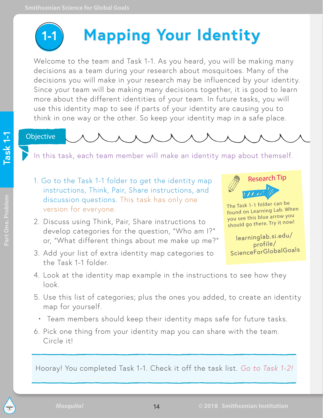

# **Mapping Your Identity**

Welcome to the team and Task 1-1. As you heard, you will be making many decisions as a team during your research about mosquitoes. Many of the decisions you will make in your research may be influenced by your identity. Since your team will be making many decisions together, it is good to learn more about the different identities of your team. In future tasks, you will use this identity map to see if parts of your identity are causing you to think in one way or the other. So keep your identity map in a safe place.

Objective

In this task, each team member will make an identity map about themself.

- 1. Go to the Task 1-1 folder to get the identity map instructions, Think, Pair, Share instructions, and discussion questions. This task has only one version for everyone.
- 2. Discuss using Think, Pair, Share instructions to develop categories for the question, "Who am I?" or, "What different things about me make up me?"
- 3. Add your list of extra identity map categories to the Task 1-1 folder.



The Task 1-1 folder can be found on Learning Lab. When you see this blue arrow you should go there. Try it now!

learning[lab.si.edu/](https://learninglab.si.edu/profile/ScienceForGlobalGoals)  profile/ ScienceForGlobalGoals

- 4. Look at the identity map example in the instructions to see how they look.
- 5. Use this list of categories; plus the ones you added, to create an identity map for yourself.
- Team members should keep their identity maps safe for future tasks.
- 6. Pick one thing from your identity map you can share with the team. Circle it!

Hooray! You completed Task 1-1. Check it off the task list. *Go to Task 1-2!*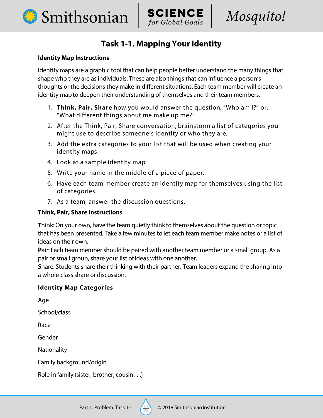



## **Task 1-1. Mapping Your Identity**

#### **Identity Map Instructions**

Identity maps are a graphic tool that can help people better understand the many things that shape who they are as individuals. These are also things that can influence a person's thoughts or the decisions they make in different situations. Each team member will create an identity map to deepen their understanding of themselves and their team members.

- 1. Think, Pair, Share how you would answer the question, "Who am I?" or, "What different things about me make up me?"
- 2. After the Think, Pair, Share conversation, brainstorm a list of categories you might use to describe someone's identity or who they are.
- 3. Add the extra categories to your list that will be used when creating your identity maps.
- 4. Look at a sample identity map.
- 5. Write your name in the middle of a piece of paper.
- 6. Have each team member create an identity map for themselves using the list of categories.
- 7. As a team, answer the discussion questions.

#### **Think, Pair, Share Instructions**

Think: On your own, have the team quietly think to themselves about the question or topic that has been presented. Take a few minutes to let each team member make notes or a list of ideas on their own.

Pair: Each team member should be paired with another team member or a small group. As a pair or small group, share your list of ideas with one another.

Share: Students share their thinking with their partner. Team leaders expand the sharing into a whole-class share or discussion.

#### **Identity Map Categories**

Age

School/class

Race

Gender

Nationality

Family background/origin

Role in family (sister, brother, cousin . . .)